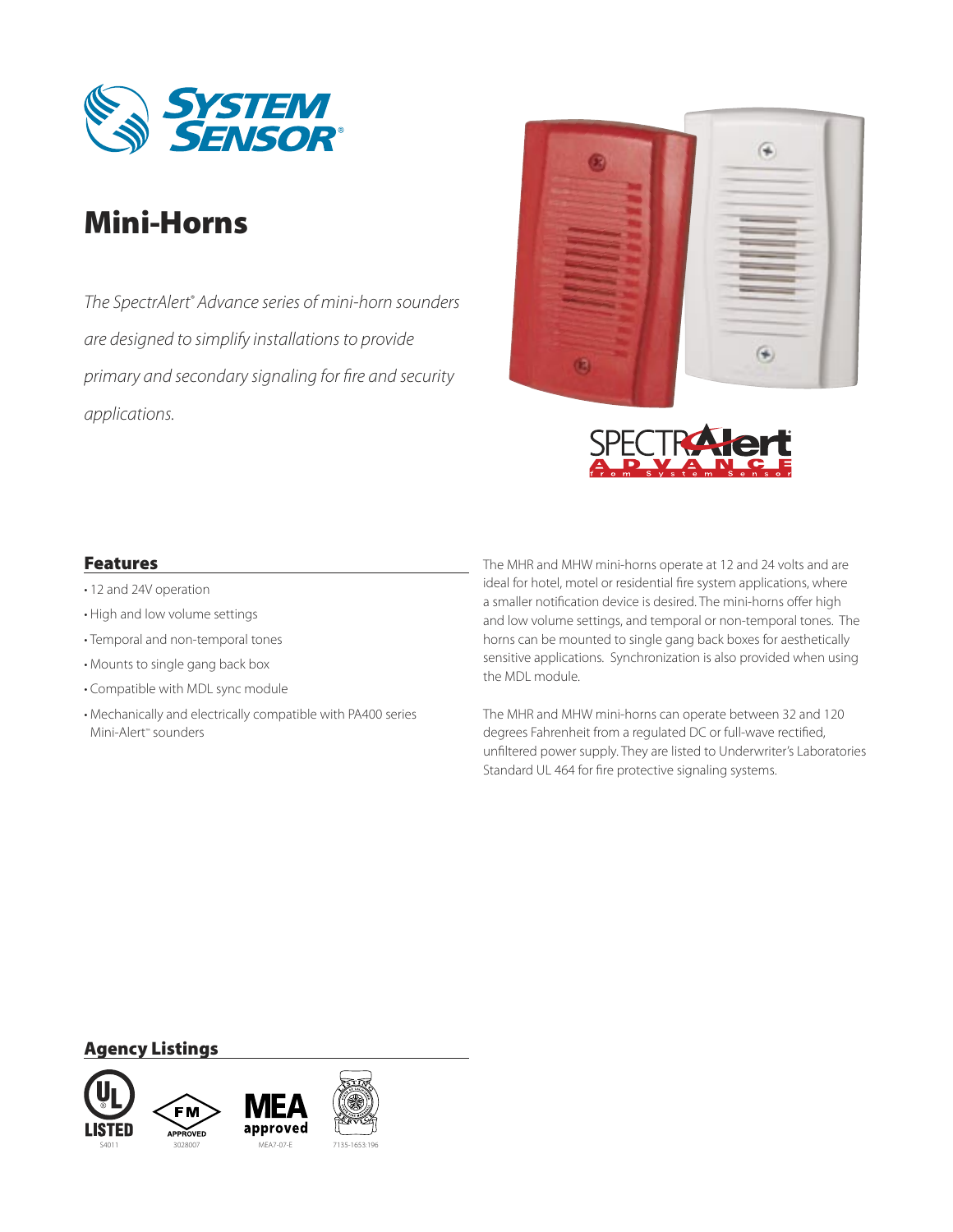

# Mini-Horns

*The SpectrAlert® Advance series of mini-horn sounders are designed to simplify installations to provide primary and secondary signaling for fire and security applications.*





### Features

- 12 and 24V operation
- High and low volume settings
- Temporal and non-temporal tones •
- Mounts to single gang back box •
- Compatible with MDL sync module •
- Mechanically and electrically compatible with PA400 series Mini-Alert™ sounders

The MHR and MHW mini-horns operate at 12 and 24 volts and are ideal for hotel, motel or residential fire system applications, where a smaller notification device is desired. The mini-horns offer high and low volume settings, and temporal or non-temporal tones. The horns can be mounted to single gang back boxes for aesthetically sensitive applications. Synchronization is also provided when using the MDL module.

The MHR and MHW mini-horns can operate between 32 and 120 degrees Fahrenheit from a regulated DC or full-wave rectified, unfiltered power supply. They are listed to Underwriter's Laboratories Standard UL 464 for fire protective signaling systems.

### Agency Listings